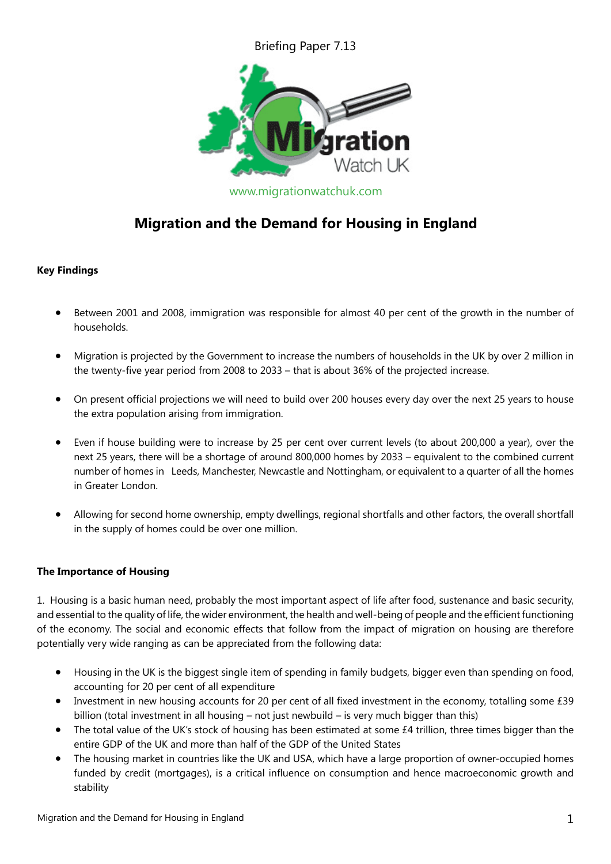Briefing Paper 7.13



# **Migration and the Demand for Housing in England**

## **Key Findings**

- Between 2001 and 2008, immigration was responsible for almost 40 per cent of the growth in the number of households.
- Migration is projected by the Government to increase the numbers of households in the UK by over 2 million in the twenty-five year period from 2008 to 2033 – that is about 36% of the projected increase.
- On present official projections we will need to build over 200 houses every day over the next 25 years to house the extra population arising from immigration.
- Even if house building were to increase by 25 per cent over current levels (to about 200,000 a year), over the next 25 years, there will be a shortage of around 800,000 homes by 2033 – equivalent to the combined current number of homes in Leeds, Manchester, Newcastle and Nottingham, or equivalent to a quarter of all the homes in Greater London.
- Allowing for second home ownership, empty dwellings, regional shortfalls and other factors, the overall shortfall in the supply of homes could be over one million.

## **The Importance of Housing**

1. Housing is a basic human need, probably the most important aspect of life after food, sustenance and basic security, and essential to the quality of life, the wider environment, the health and well-being of people and the efficient functioning of the economy. The social and economic effects that follow from the impact of migration on housing are therefore potentially very wide ranging as can be appreciated from the following data:

- Housing in the UK is the biggest single item of spending in family budgets, bigger even than spending on food, accounting for 20 per cent of all expenditure
- Investment in new housing accounts for 20 per cent of all fixed investment in the economy, totalling some £39 billion (total investment in all housing – not just newbuild – is very much bigger than this)
- The total value of the UK's stock of housing has been estimated at some £4 trillion, three times bigger than the entire GDP of the UK and more than half of the GDP of the United States
- The housing market in countries like the UK and USA, which have a large proportion of owner-occupied homes funded by credit (mortgages), is a critical influence on consumption and hence macroeconomic growth and stability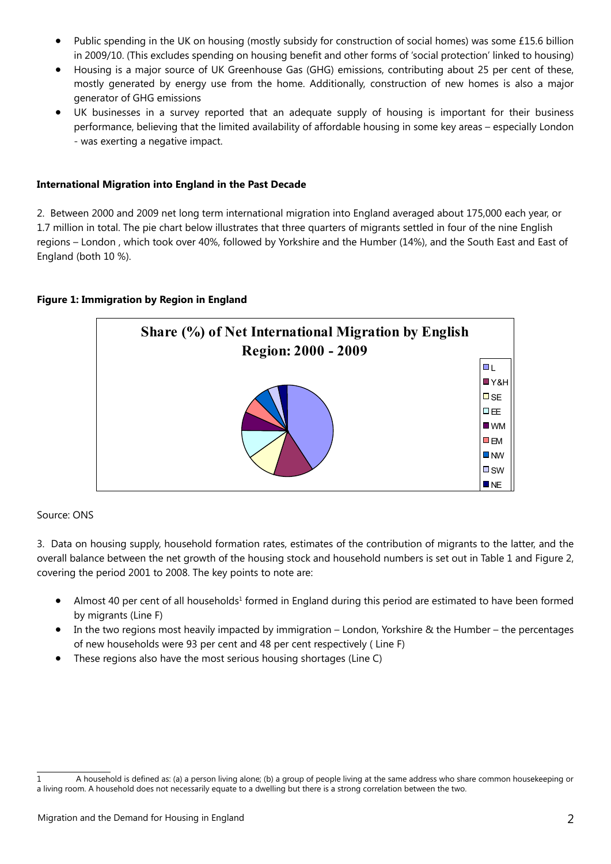- Public spending in the UK on housing (mostly subsidy for construction of social homes) was some £15.6 billion in 2009/10. (This excludes spending on housing benefit and other forms of 'social protection' linked to housing)
- Housing is a major source of UK Greenhouse Gas (GHG) emissions, contributing about 25 per cent of these, mostly generated by energy use from the home. Additionally, construction of new homes is also a major generator of GHG emissions
- UK businesses in a survey reported that an adequate supply of housing is important for their business performance, believing that the limited availability of affordable housing in some key areas – especially London - was exerting a negative impact.

## **International Migration into England in the Past Decade**

2. Between 2000 and 2009 net long term international migration into England averaged about 175,000 each year, or 1.7 million in total. The pie chart below illustrates that three quarters of migrants settled in four of the nine English regions – London , which took over 40%, followed by Yorkshire and the Humber (14%), and the South East and East of England (both 10 %).

## **Figure 1: Immigration by Region in England**



## Source: ONS

3. Data on housing supply, household formation rates, estimates of the contribution of migrants to the latter, and the overall balance between the net growth of the housing stock and household numbers is set out in Table 1 and Figure 2, covering the period 2001 to 2008. The key points to note are:

- Almost 40 per cent of all households<sup>1</sup> formed in England during this period are estimated to have been formed by migrants (Line F)
- In the two regions most heavily impacted by immigration London, Yorkshire & the Humber the percentages of new households were 93 per cent and 48 per cent respectively ( Line F)
- These regions also have the most serious housing shortages (Line C)

<sup>1</sup> A household is defined as: (a) a person living alone; (b) a group of people living at the same address who share common housekeeping or a living room. A household does not necessarily equate to a dwelling but there is a strong correlation between the two.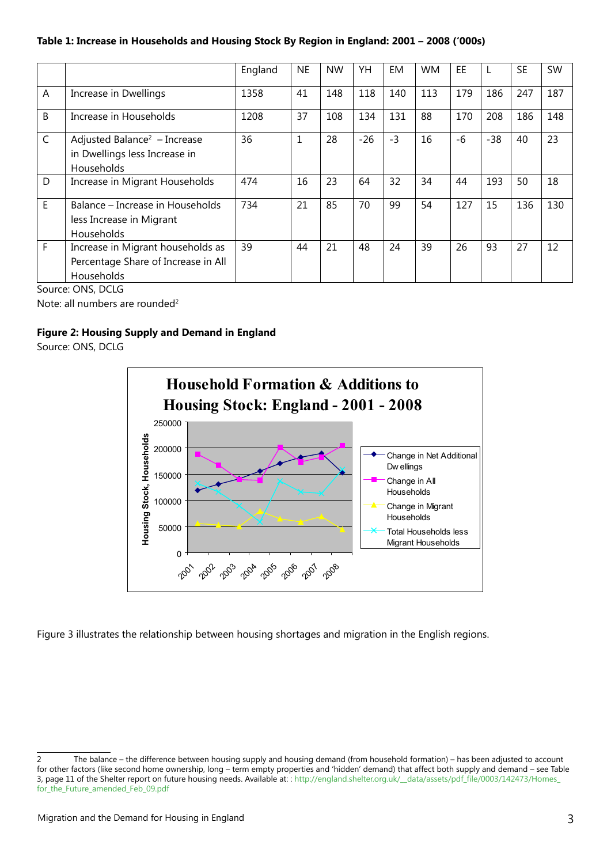## **Table 1: Increase in Households and Housing Stock By Region in England: 2001 – 2008 ('000s)**

|              |                                                                                         | England | <b>NE</b> | <b>NW</b> | YH    | EM   | <b>WM</b> | EE.  |       | <b>SE</b> | <b>SW</b> |
|--------------|-----------------------------------------------------------------------------------------|---------|-----------|-----------|-------|------|-----------|------|-------|-----------|-----------|
| A            | Increase in Dwellings                                                                   | 1358    | 41        | 148       | 118   | 140  | 113       | 179  | 186   | 247       | 187       |
| B            | Increase in Households                                                                  | 1208    | 37        | 108       | 134   | 131  | 88        | 170  | 208   | 186       | 148       |
| $\mathsf{C}$ | Adjusted Balance <sup>2</sup> - Increase<br>in Dwellings less Increase in<br>Households | 36      | 1         | 28        | $-26$ | $-3$ | 16        | $-6$ | $-38$ | 40        | 23        |
| D            | Increase in Migrant Households                                                          | 474     | 16        | 23        | 64    | 32   | 34        | 44   | 193   | 50        | 18        |
| E.           | Balance – Increase in Households<br>less Increase in Migrant<br>Households              | 734     | 21        | 85        | 70    | 99   | 54        | 127  | 15    | 136       | 130       |
| F            | Increase in Migrant households as<br>Percentage Share of Increase in All<br>Households  | 39      | 44        | 21        | 48    | 24   | 39        | 26   | 93    | 27        | 12        |

Source: ONS, DCLG

Note: all numbers are rounded<sup>2</sup>

## **Figure 2: Housing Supply and Demand in England**

Source: ONS, DCLG



Figure 3 illustrates the relationship between housing shortages and migration in the English regions.

<sup>2</sup> The balance – the difference between housing supply and housing demand (from household formation) – has been adjusted to account for other factors (like second home ownership, long – term empty properties and 'hidden' demand) that affect both supply and demand – see Table 3, page 11 of the Shelter report on future housing needs. Available at: : [http://england.shelter.org.uk/\\_\\_data/assets/pdf\\_file/0003/142473/Homes\\_](http://england.shelter.org.uk/__data/assets/pdf_file/0003/142473/Homes_for_the_Future_amended_Feb_09.pdf) [for\\_the\\_Future\\_amended\\_Feb\\_09.pdf](http://england.shelter.org.uk/__data/assets/pdf_file/0003/142473/Homes_for_the_Future_amended_Feb_09.pdf)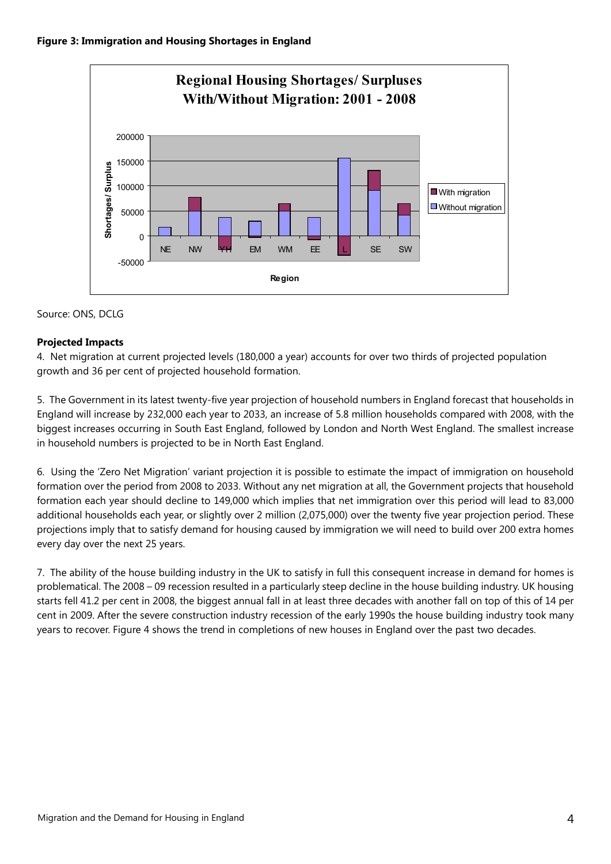

# Source: ONS, DCLG

## **Projected Impacts**

4. Net migration at current projected levels (180,000 a year) accounts for over two thirds of projected population growth and 36 per cent of projected household formation.

5. The Government in its latest twenty-five year projection of household numbers in England forecast that households in England will increase by 232,000 each year to 2033, an increase of 5.8 million households compared with 2008, with the biggest increases occurring in South East England, followed by London and North West England. The smallest increase in household numbers is projected to be in North East England.

6. Using the 'Zero Net Migration' variant projection it is possible to estimate the impact of immigration on household formation over the period from 2008 to 2033. Without any net migration at all, the Government projects that household formation each year should decline to 149,000 which implies that net immigration over this period will lead to 83,000 additional households each year, or slightly over 2 million (2,075,000) over the twenty five year projection period. These projections imply that to satisfy demand for housing caused by immigration we will need to build over 200 extra homes every day over the next 25 years.

7. The ability of the house building industry in the UK to satisfy in full this consequent increase in demand for homes is problematical. The 2008 – 09 recession resulted in a particularly steep decline in the house building industry. UK housing starts fell 41.2 per cent in 2008, the biggest annual fall in at least three decades with another fall on top of this of 14 per cent in 2009. After the severe construction industry recession of the early 1990s the house building industry took many years to recover. Figure 4 shows the trend in completions of new houses in England over the past two decades.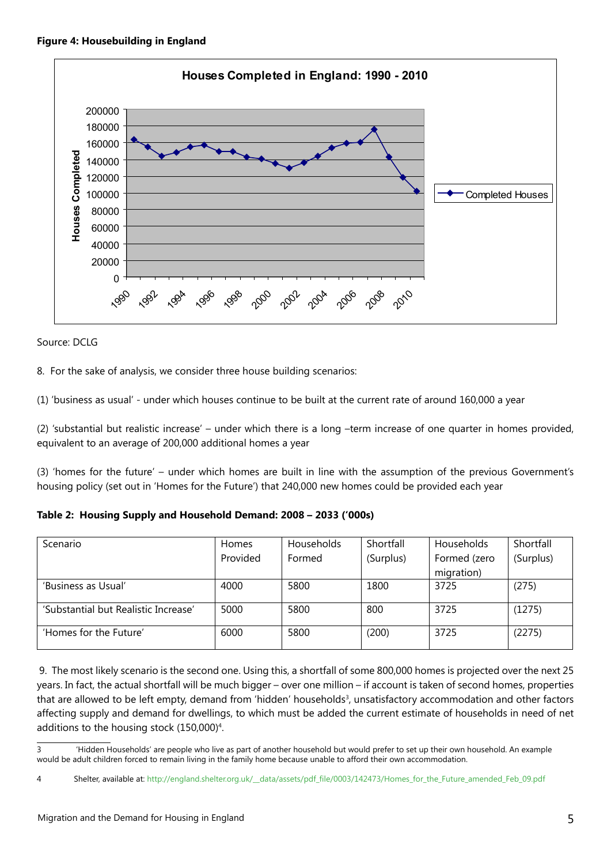

Source: DCLG

8. For the sake of analysis, we consider three house building scenarios:

(1) 'business as usual' - under which houses continue to be built at the current rate of around 160,000 a year

(2) 'substantial but realistic increase' – under which there is a long –term increase of one quarter in homes provided, equivalent to an average of 200,000 additional homes a year

(3) 'homes for the future' – under which homes are built in line with the assumption of the previous Government's housing policy (set out in 'Homes for the Future') that 240,000 new homes could be provided each year

| Scenario                             | Homes    | <b>Households</b> | Shortfall | <b>Households</b> | Shortfall |
|--------------------------------------|----------|-------------------|-----------|-------------------|-----------|
|                                      | Provided | Formed            | (Surplus) | Formed (zero      | (Surplus) |
|                                      |          |                   |           | migration)        |           |
| 'Business as Usual'                  | 4000     | 5800              | 1800      | 3725              | (275)     |
| 'Substantial but Realistic Increase' | 5000     | 5800              | 800       | 3725              | (1275)    |
| 'Homes for the Future'               | 6000     | 5800              | (200)     | 3725              | (2275)    |

 9. The most likely scenario is the second one. Using this, a shortfall of some 800,000 homes is projected over the next 25 years. In fact, the actual shortfall will be much bigger – over one million – if account is taken of second homes, properties that are allowed to be left empty, demand from 'hidden' households<sup>3</sup>, unsatisfactory accommodation and other factors affecting supply and demand for dwellings, to which must be added the current estimate of households in need of net additions to the housing stock  $(150,000)^4$ .

<sup>3 &#</sup>x27;Hidden Households' are people who live as part of another household but would prefer to set up their own household. An example would be adult children forced to remain living in the family home because unable to afford their own accommodation.

<sup>4</sup> Shelter, available at: h[ttp://england.shelter.org.uk/\\_\\_data/assets/pdf\\_file/0003/142473/Homes\\_for\\_the\\_Future\\_amended\\_Feb\\_09.pdf](http://england.shelter.org.uk/__data/assets/pdf_file/0003/142473/Homes_for_the_Future_amended_Feb_09.pdf)